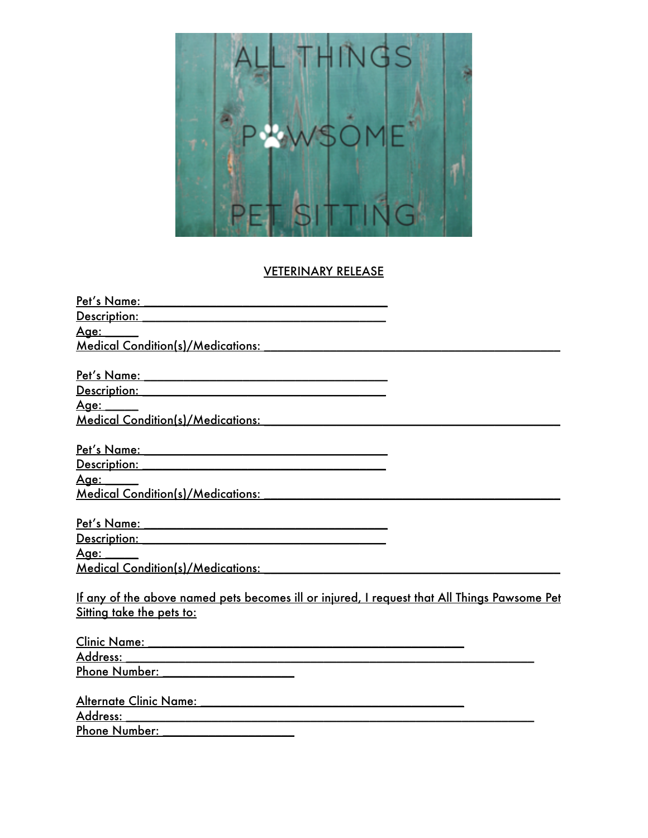

## VETERINARY RELEASE

| Description: Network and Contact the Contact of the Contact of the Contact of the Contact of the Contact of the                                                                                                                      |  |
|--------------------------------------------------------------------------------------------------------------------------------------------------------------------------------------------------------------------------------------|--|
| <u> Age: _____</u>                                                                                                                                                                                                                   |  |
| Medical Condition(s)/Medications: Network and American American Studies                                                                                                                                                              |  |
|                                                                                                                                                                                                                                      |  |
|                                                                                                                                                                                                                                      |  |
| Description: Network of the Contract of the Contract of the Contract of the Contract of the Contract of the Contract of the Contract of the Contract of the Contract of the Contract of the Contract of the Contract of the Co       |  |
| <u>Age: _____</u>                                                                                                                                                                                                                    |  |
|                                                                                                                                                                                                                                      |  |
|                                                                                                                                                                                                                                      |  |
|                                                                                                                                                                                                                                      |  |
| <u>Description: William School School School School School School School School School School School School School School School School School School School School School School School School School School School School Scho</u> |  |
| <u> Aqe: _____</u>                                                                                                                                                                                                                   |  |
|                                                                                                                                                                                                                                      |  |
|                                                                                                                                                                                                                                      |  |
| Pet's Name: Name and the set of the set of the set of the set of the set of the set of the set of the set of the set of the set of the set of the set of the set of the set of the set of the set of the set of the set of the       |  |
| Description: Network of the Contract of the Contract of the Contract of the Contract of the Contract of the Co                                                                                                                       |  |
| <u>Age: ____</u>                                                                                                                                                                                                                     |  |
| Medical Condition(s)/Medications:                                                                                                                                                                                                    |  |
|                                                                                                                                                                                                                                      |  |
| If any of the above named pets becomes ill or injured, I request that All Things Pawsome Pet                                                                                                                                         |  |
| Sitting take the pets to:                                                                                                                                                                                                            |  |
|                                                                                                                                                                                                                                      |  |
| Clinic Name: 2008 - 2008 - 2009 - 2009 - 2010 - 2010 - 2010 - 2010 - 2010 - 2010 - 2010 - 2010 - 2010 - 2010 -                                                                                                                       |  |
| Address:                                                                                                                                                                                                                             |  |
| Phone Number: National Section 2014                                                                                                                                                                                                  |  |
|                                                                                                                                                                                                                                      |  |
| Address:                                                                                                                                                                                                                             |  |
| Phone Number: National Assembly Phone Number:                                                                                                                                                                                        |  |
|                                                                                                                                                                                                                                      |  |